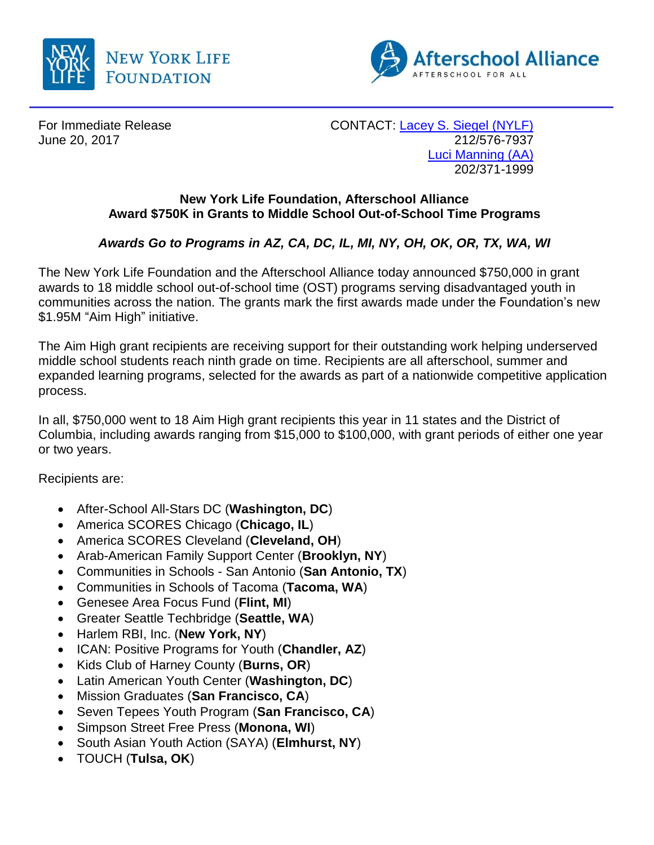



For Immediate Release CONTACT: [Lacey S. Siegel \(NYLF\)](mailto:lacey_s_siegel@newyorklife.com?subject=New%20York%20Life%20Fdtn/Afterschool%20Alliance) June 20, 2017 212/576-7937 [Luci Manning](mailto:luci@prsolutionsdc.com?subject=New%20York%20Life%20Fdtn/Afterschool%20Alliance) (AA) 202/371-1999

## **New York Life Foundation, Afterschool Alliance Award \$750K in Grants to Middle School Out-of-School Time Programs**

# *Awards Go to Programs in AZ, CA, DC, IL, MI, NY, OH, OK, OR, TX, WA, WI*

The New York Life Foundation and the Afterschool Alliance today announced \$750,000 in grant awards to 18 middle school out-of-school time (OST) programs serving disadvantaged youth in communities across the nation. The grants mark the first awards made under the Foundation's new \$1.95M "Aim High" initiative.

The Aim High grant recipients are receiving support for their outstanding work helping underserved middle school students reach ninth grade on time. Recipients are all afterschool, summer and expanded learning programs, selected for the awards as part of a nationwide competitive application process.

In all, \$750,000 went to 18 Aim High grant recipients this year in 11 states and the District of Columbia, including awards ranging from \$15,000 to \$100,000, with grant periods of either one year or two years.

Recipients are:

- After-School All-Stars DC (**Washington, DC**)
- America SCORES Chicago (**Chicago, IL**)
- America SCORES Cleveland (**Cleveland, OH**)
- Arab-American Family Support Center (**Brooklyn, NY**)
- Communities in Schools San Antonio (**San Antonio, TX**)
- Communities in Schools of Tacoma (**Tacoma, WA**)
- Genesee Area Focus Fund (**Flint, MI**)
- Greater Seattle Techbridge (**Seattle, WA**)
- Harlem RBI, Inc. (**New York, NY**)
- ICAN: Positive Programs for Youth (**Chandler, AZ**)
- Kids Club of Harney County (**Burns, OR**)
- Latin American Youth Center (**Washington, DC**)
- Mission Graduates (**San Francisco, CA**)
- **Seven Tepees Youth Program (San Francisco, CA)**
- Simpson Street Free Press (**Monona, WI**)
- South Asian Youth Action (SAYA) (**Elmhurst, NY**)
- TOUCH (**Tulsa, OK**)